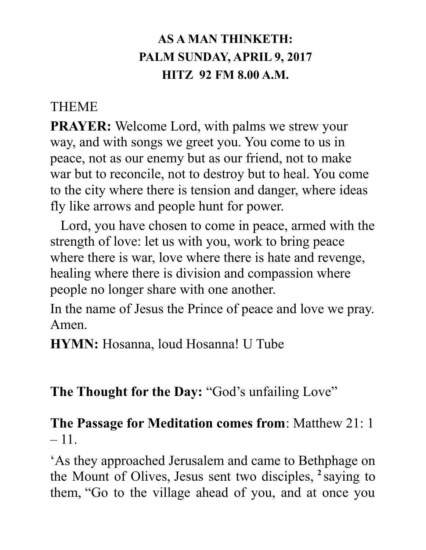# **AS A MAN THINKETH: PALM SUNDAY, APRIL 9, 2017 HITZ 92 FM 8.00 A.M.**

#### **THEME**

**PRAYER:** Welcome Lord, with palms we strew your way, and with songs we greet you. You come to us in peace, not as our enemy but as our friend, not to make war but to reconcile, not to destroy but to heal. You come to the city where there is tension and danger, where ideas fly like arrows and people hunt for power.

 Lord, you have chosen to come in peace, armed with the strength of love: let us with you, work to bring peace where there is war, love where there is hate and revenge, healing where there is division and compassion where people no longer share with one another.

In the name of Jesus the Prince of peace and love we pray. Amen.

**HYMN:** Hosanna, loud Hosanna! U Tube

# **The Thought for the Day:** "God's unfailing Love"

# **The Passage for Meditation comes from**: Matthew 21: 1  $-11.$

'As they approached Jerusalem and came to Bethphage on the Mount of Olives, Jesus sent two disciples, **<sup>2</sup>** saying to them, "Go to the village ahead of you, and at once you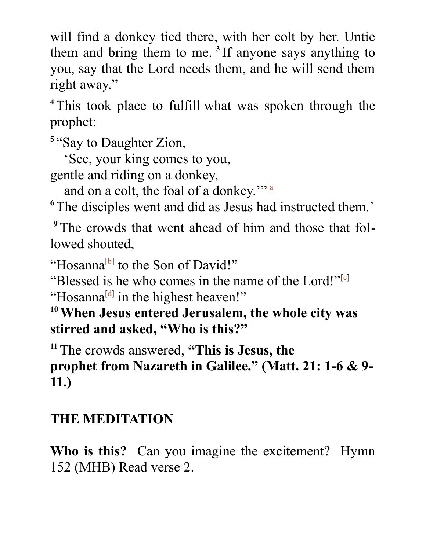will find a donkey tied there, with her colt by her. Untie them and bring them to me. **<sup>3</sup>** If anyone says anything to you, say that the Lord needs them, and he will send them right away."

**<sup>4</sup>**This took place to fulfill what was spoken through the prophet:

**5** "Say to Daughter Zion,

<span id="page-1-0"></span>'See, your king comes to you,

gentle and riding on a donkey,

and on a colt, the foal of a donkey."<sup>[\[a\]](#page-1-0)</sup>

<sup>6</sup>The disciples went and did as Jesus had instructed them.'

**9**The crowds that went ahead of him and those that followed shouted,

<span id="page-1-3"></span><span id="page-1-2"></span>"Hosanna<sup>[\[b\]](#page-1-3)</sup> to the Son of David!"

<span id="page-1-1"></span>"Blessed is he who comes in the name of the Lord!"<sup>[\[c\]](#page-1-2)</sup> "Hosanna<sup>[\[d\]](#page-1-1)</sup> in the highest heaven!"

**<sup>10</sup>When Jesus entered Jerusalem, the whole city was stirred and asked, "Who is this?"**

**<sup>11</sup>**The crowds answered, **"This is Jesus, the prophet from Nazareth in Galilee." (Matt. 21: 1-6 & 9- 11.)**

# **THE MEDITATION**

**Who is this?** Can you imagine the excitement? Hymn 152 (MHB) Read verse 2.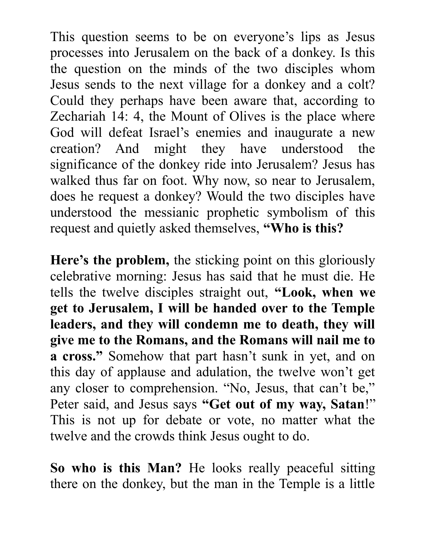This question seems to be on everyone's lips as Jesus processes into Jerusalem on the back of a donkey. Is this the question on the minds of the two disciples whom Jesus sends to the next village for a donkey and a colt? Could they perhaps have been aware that, according to Zechariah 14: 4, the Mount of Olives is the place where God will defeat Israel's enemies and inaugurate a new creation? And might they have understood the significance of the donkey ride into Jerusalem? Jesus has walked thus far on foot. Why now, so near to Jerusalem, does he request a donkey? Would the two disciples have understood the messianic prophetic symbolism of this request and quietly asked themselves, **"Who is this?**

**Here's the problem,** the sticking point on this gloriously celebrative morning: Jesus has said that he must die. He tells the twelve disciples straight out, **"Look, when we get to Jerusalem, I will be handed over to the Temple leaders, and they will condemn me to death, they will give me to the Romans, and the Romans will nail me to a cross."** Somehow that part hasn't sunk in yet, and on this day of applause and adulation, the twelve won't get any closer to comprehension. "No, Jesus, that can't be," Peter said, and Jesus says **"Get out of my way, Satan**!" This is not up for debate or vote, no matter what the twelve and the crowds think Jesus ought to do.

**So who is this Man?** He looks really peaceful sitting there on the donkey, but the man in the Temple is a little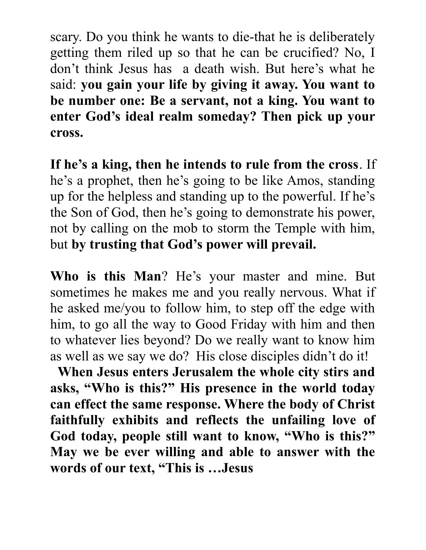scary. Do you think he wants to die-that he is deliberately getting them riled up so that he can be crucified? No, I don't think Jesus has a death wish. But here's what he said: **you gain your life by giving it away. You want to be number one: Be a servant, not a king. You want to enter God's ideal realm someday? Then pick up your cross.**

**If he's a king, then he intends to rule from the cross**. If he's a prophet, then he's going to be like Amos, standing up for the helpless and standing up to the powerful. If he's the Son of God, then he's going to demonstrate his power, not by calling on the mob to storm the Temple with him, but **by trusting that God's power will prevail.**

**Who is this Man**? He's your master and mine. But sometimes he makes me and you really nervous. What if he asked me/you to follow him, to step off the edge with him, to go all the way to Good Friday with him and then to whatever lies beyond? Do we really want to know him as well as we say we do? His close disciples didn't do it!

 **When Jesus enters Jerusalem the whole city stirs and asks, "Who is this?" His presence in the world today can effect the same response. Where the body of Christ faithfully exhibits and reflects the unfailing love of God today, people still want to know, "Who is this?" May we be ever willing and able to answer with the words of our text, "This is …Jesus**